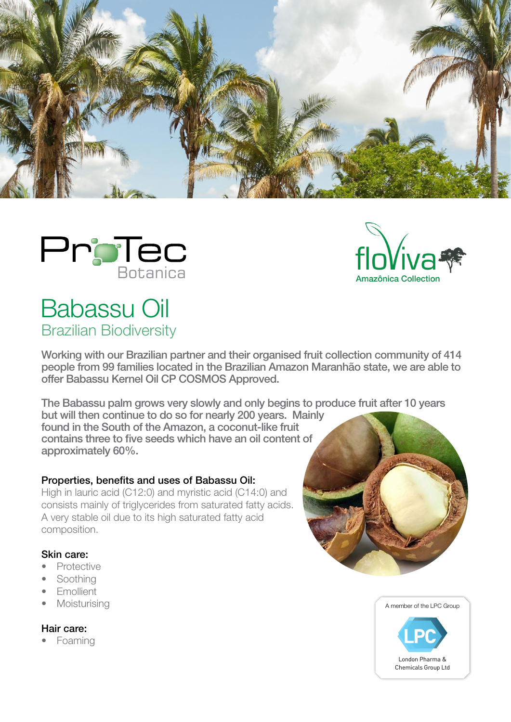





# Babassu Oil Brazilian Biodiversity

Working with our Brazilian partner and their organised fruit collection community of 414 people from 99 families located in the Brazilian Amazon Maranhão state, we are able to offer Babassu Kernel Oil CP COSMOS Approved.

The Babassu palm grows very slowly and only begins to produce fruit after 10 years but will then continue to do so for nearly 200 years. Mainly

found in the South of the Amazon, a coconut-like fruit contains three to five seeds which have an oil content of approximately 60%.

## Properties, benefits and uses of Babassu Oil:

High in lauric acid (C12:0) and myristic acid (C14:0) and consists mainly of triglycerides from saturated fatty acids. A very stable oil due to its high saturated fatty acid composition.

## Skin care:

- Protective
- **Soothing**
- Emollient
- **Moisturising**

# Hair care:

• Foaming